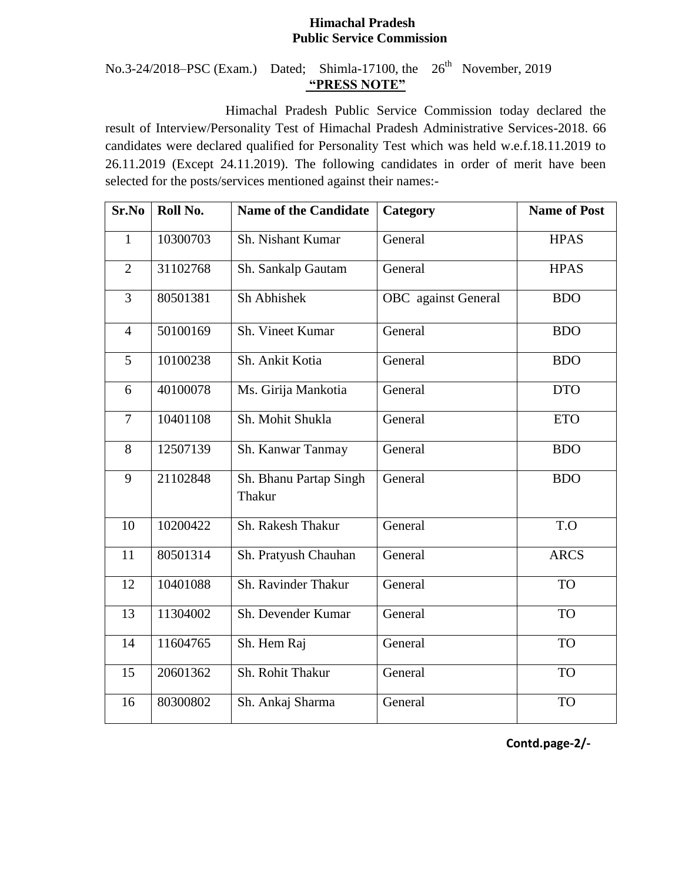## **Himachal Pradesh Public Service Commission**

## No.3-24/2018–PSC (Exam.) Dated; Shimla-17100, the  $26<sup>th</sup>$  November, 2019 **"PRESS NOTE"**

Himachal Pradesh Public Service Commission today declared the result of Interview/Personality Test of Himachal Pradesh Administrative Services-2018. 66 candidates were declared qualified for Personality Test which was held w.e.f.18.11.2019 to 26.11.2019 (Except 24.11.2019). The following candidates in order of merit have been selected for the posts/services mentioned against their names:-

| Sr.No          | Roll No. | <b>Name of the Candidate</b>     | Category                   | <b>Name of Post</b> |
|----------------|----------|----------------------------------|----------------------------|---------------------|
| $\mathbf{1}$   | 10300703 | Sh. Nishant Kumar                | General                    | <b>HPAS</b>         |
| $\overline{2}$ | 31102768 | Sh. Sankalp Gautam               | General                    | <b>HPAS</b>         |
| 3              | 80501381 | Sh Abhishek                      | <b>OBC</b> against General | <b>BDO</b>          |
| $\overline{4}$ | 50100169 | Sh. Vineet Kumar                 | General                    | <b>BDO</b>          |
| 5              | 10100238 | Sh. Ankit Kotia                  | General                    | <b>BDO</b>          |
| 6              | 40100078 | Ms. Girija Mankotia              | General                    | <b>DTO</b>          |
| $\overline{7}$ | 10401108 | Sh. Mohit Shukla                 | General                    | <b>ETO</b>          |
| 8              | 12507139 | Sh. Kanwar Tanmay                | General                    | <b>BDO</b>          |
| 9              | 21102848 | Sh. Bhanu Partap Singh<br>Thakur | General                    | <b>BDO</b>          |
| 10             | 10200422 | Sh. Rakesh Thakur                | General                    | T.O                 |
| 11             | 80501314 | Sh. Pratyush Chauhan             | General                    | <b>ARCS</b>         |
| 12             | 10401088 | Sh. Ravinder Thakur              | General                    | <b>TO</b>           |
| 13             | 11304002 | Sh. Devender Kumar               | General                    | <b>TO</b>           |
| 14             | 11604765 | Sh. Hem Raj                      | General                    | <b>TO</b>           |
| 15             | 20601362 | Sh. Rohit Thakur                 | General                    | <b>TO</b>           |
| 16             | 80300802 | Sh. Ankaj Sharma                 | General                    | <b>TO</b>           |

**Contd.page-2/-**